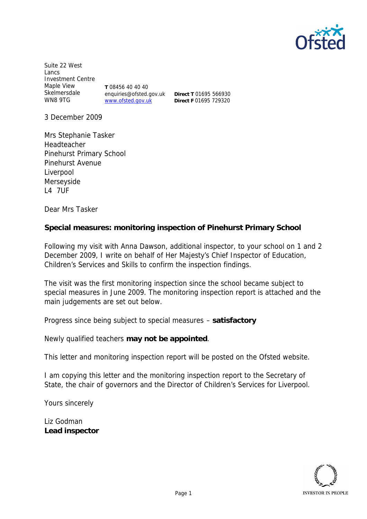

Suite 22 West Lancs Investment Centre Maple View Skelmersdale WN8 9TG **T** 08456 40 40 40 enquiries@ofsted.gov.uk www.ofsted.gov.uk

**Direct T** 01695 566930 **Direct F** 01695 729320

3 December 2009

Mrs Stephanie Tasker Headteacher Pinehurst Primary School Pinehurst Avenue Liverpool Merseyside L4 7UF

Dear Mrs Tasker

**Special measures: monitoring inspection of Pinehurst Primary School**

Following my visit with Anna Dawson, additional inspector, to your school on 1 and 2 December 2009, I write on behalf of Her Majesty's Chief Inspector of Education, Children's Services and Skills to confirm the inspection findings.

The visit was the first monitoring inspection since the school became subject to special measures in June 2009. The monitoring inspection report is attached and the main judgements are set out below.

Progress since being subject to special measures – **satisfactory**

Newly qualified teachers **may not be appointed**.

This letter and monitoring inspection report will be posted on the Ofsted website.

I am copying this letter and the monitoring inspection report to the Secretary of State, the chair of governors and the Director of Children's Services for Liverpool.

Yours sincerely

Liz Godman **Lead inspector**

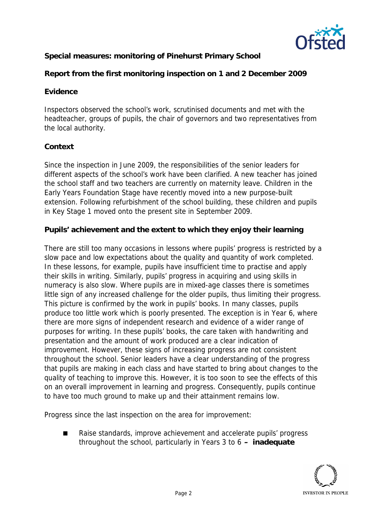

**Special measures: monitoring of Pinehurst Primary School**

**Report from the first monitoring inspection on 1 and 2 December 2009**

## **Evidence**

Inspectors observed the school's work, scrutinised documents and met with the headteacher, groups of pupils, the chair of governors and two representatives from the local authority.

## **Context**

Since the inspection in June 2009, the responsibilities of the senior leaders for different aspects of the school's work have been clarified. A new teacher has joined the school staff and two teachers are currently on maternity leave. Children in the Early Years Foundation Stage have recently moved into a new purpose-built extension. Following refurbishment of the school building, these children and pupils in Key Stage 1 moved onto the present site in September 2009.

**Pupils' achievement and the extent to which they enjoy their learning**

There are still too many occasions in lessons where pupils' progress is restricted by a slow pace and low expectations about the quality and quantity of work completed. In these lessons, for example, pupils have insufficient time to practise and apply their skills in writing. Similarly, pupils' progress in acquiring and using skills in numeracy is also slow. Where pupils are in mixed-age classes there is sometimes little sign of any increased challenge for the older pupils, thus limiting their progress. This picture is confirmed by the work in pupils' books. In many classes, pupils produce too little work which is poorly presented. The exception is in Year 6, where there are more signs of independent research and evidence of a wider range of purposes for writing. In these pupils' books, the care taken with handwriting and presentation and the amount of work produced are a clear indication of improvement. However, these signs of increasing progress are not consistent throughout the school. Senior leaders have a clear understanding of the progress that pupils are making in each class and have started to bring about changes to the quality of teaching to improve this. However, it is too soon to see the effects of this on an overall improvement in learning and progress. Consequently, pupils continue to have too much ground to make up and their attainment remains low.

Progress since the last inspection on the area for improvement:

 Raise standards, improve achievement and accelerate pupils' progress throughout the school, particularly in Years 3 to 6 **– inadequate**

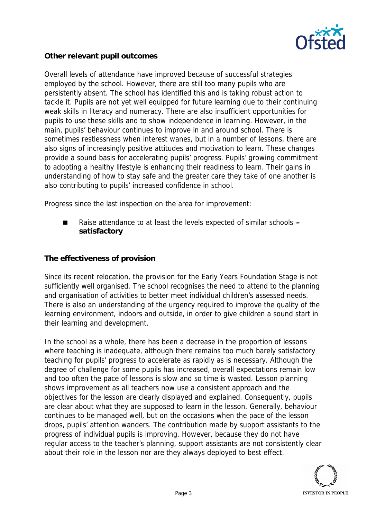

**Other relevant pupil outcomes**

Overall levels of attendance have improved because of successful strategies employed by the school. However, there are still too many pupils who are persistently absent. The school has identified this and is taking robust action to tackle it. Pupils are not yet well equipped for future learning due to their continuing weak skills in literacy and numeracy. There are also insufficient opportunities for pupils to use these skills and to show independence in learning. However, in the main, pupils' behaviour continues to improve in and around school. There is sometimes restlessness when interest wanes, but in a number of lessons, there are also signs of increasingly positive attitudes and motivation to learn. These changes provide a sound basis for accelerating pupils' progress. Pupils' growing commitment to adopting a healthy lifestyle is enhancing their readiness to learn. Their gains in understanding of how to stay safe and the greater care they take of one another is also contributing to pupils' increased confidence in school.

Progress since the last inspection on the area for improvement:

 Raise attendance to at least the levels expected of similar schools **– satisfactory**

**The effectiveness of provision**

Since its recent relocation, the provision for the Early Years Foundation Stage is not sufficiently well organised. The school recognises the need to attend to the planning and organisation of activities to better meet individual children's assessed needs. There is also an understanding of the urgency required to improve the quality of the learning environment, indoors and outside, in order to give children a sound start in their learning and development.

In the school as a whole, there has been a decrease in the proportion of lessons where teaching is inadequate, although there remains too much barely satisfactory teaching for pupils' progress to accelerate as rapidly as is necessary. Although the degree of challenge for some pupils has increased, overall expectations remain low and too often the pace of lessons is slow and so time is wasted. Lesson planning shows improvement as all teachers now use a consistent approach and the objectives for the lesson are clearly displayed and explained. Consequently, pupils are clear about what they are supposed to learn in the lesson. Generally, behaviour continues to be managed well, but on the occasions when the pace of the lesson drops, pupils' attention wanders. The contribution made by support assistants to the progress of individual pupils is improving. However, because they do not have regular access to the teacher's planning, support assistants are not consistently clear about their role in the lesson nor are they always deployed to best effect.

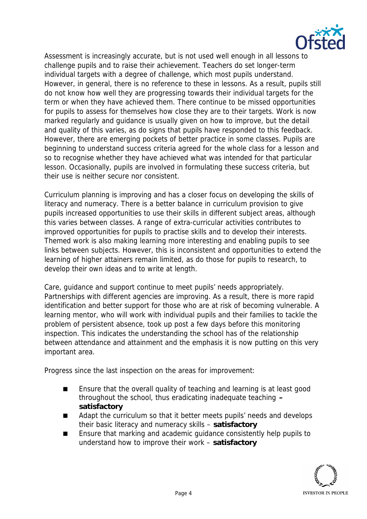

Assessment is increasingly accurate, but is not used well enough in all lessons to challenge pupils and to raise their achievement. Teachers do set longer-term individual targets with a degree of challenge, which most pupils understand. However, in general, there is no reference to these in lessons. As a result, pupils still do not know how well they are progressing towards their individual targets for the term or when they have achieved them. There continue to be missed opportunities for pupils to assess for themselves how close they are to their targets. Work is now marked regularly and guidance is usually given on how to improve, but the detail and quality of this varies, as do signs that pupils have responded to this feedback. However, there are emerging pockets of better practice in some classes. Pupils are beginning to understand success criteria agreed for the whole class for a lesson and so to recognise whether they have achieved what was intended for that particular lesson. Occasionally, pupils are involved in formulating these success criteria, but their use is neither secure nor consistent.

Curriculum planning is improving and has a closer focus on developing the skills of literacy and numeracy. There is a better balance in curriculum provision to give pupils increased opportunities to use their skills in different subject areas, although this varies between classes. A range of extra-curricular activities contributes to improved opportunities for pupils to practise skills and to develop their interests. Themed work is also making learning more interesting and enabling pupils to see links between subjects. However, this is inconsistent and opportunities to extend the learning of higher attainers remain limited, as do those for pupils to research, to develop their own ideas and to write at length.

Care, guidance and support continue to meet pupils' needs appropriately. Partnerships with different agencies are improving. As a result, there is more rapid identification and better support for those who are at risk of becoming vulnerable. A learning mentor, who will work with individual pupils and their families to tackle the problem of persistent absence, took up post a few days before this monitoring inspection. This indicates the understanding the school has of the relationship between attendance and attainment and the emphasis it is now putting on this very important area.

Progress since the last inspection on the areas for improvement:

- Ensure that the overall quality of teaching and learning is at least good throughout the school, thus eradicating inadequate teaching **– satisfactory**
- Adapt the curriculum so that it better meets pupils' needs and develops their basic literacy and numeracy skills – **satisfactory**
- Ensure that marking and academic quidance consistently help pupils to understand how to improve their work – **satisfactory**